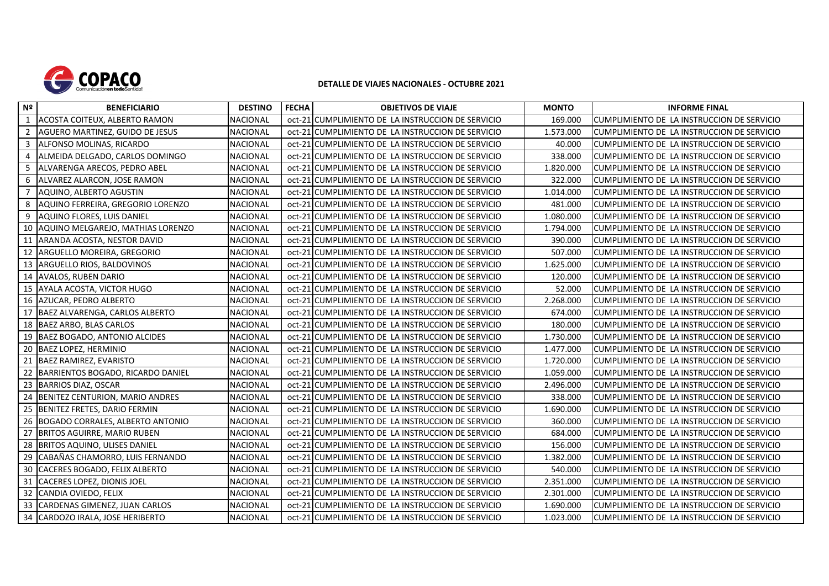

## **DETALLE DE VIAJES NACIONALES - OCTUBRE 2021**

| N <sup>2</sup> | <b>BENEFICIARIO</b>                  | <b>DESTINO</b>  | <b>FECHA</b> | <b>OBJETIVOS DE VIAJE</b>                         | <b>MONTO</b> | <b>INFORME FINAL</b>                       |
|----------------|--------------------------------------|-----------------|--------------|---------------------------------------------------|--------------|--------------------------------------------|
| 1              | ACOSTA COITEUX, ALBERTO RAMON        | <b>NACIONAL</b> |              | oct-21 CUMPLIMIENTO DE LA INSTRUCCION DE SERVICIO | 169.000      | CUMPLIMIENTO DE LA INSTRUCCION DE SERVICIO |
| 2              | AGUERO MARTINEZ, GUIDO DE JESUS      | <b>NACIONAL</b> |              | oct-21 CUMPLIMIENTO DE LA INSTRUCCION DE SERVICIO | 1.573.000    | CUMPLIMIENTO DE LA INSTRUCCION DE SERVICIO |
| 3              | ALFONSO MOLINAS, RICARDO             | <b>NACIONAL</b> |              | oct-21 CUMPLIMIENTO DE LA INSTRUCCION DE SERVICIO | 40.000       | CUMPLIMIENTO DE LA INSTRUCCION DE SERVICIO |
| $\overline{a}$ | ALMEIDA DELGADO, CARLOS DOMINGO      | <b>NACIONAL</b> |              | oct-21 CUMPLIMIENTO DE LA INSTRUCCION DE SERVICIO | 338.000      | CUMPLIMIENTO DE LA INSTRUCCION DE SERVICIO |
| 5              | ALVARENGA ARECOS, PEDRO ABEL         | NACIONAL        |              | oct-21 CUMPLIMIENTO DE LA INSTRUCCION DE SERVICIO | 1.820.000    | CUMPLIMIENTO DE LA INSTRUCCION DE SERVICIO |
| 6              | ALVAREZ ALARCON, JOSE RAMON          | <b>NACIONAL</b> |              | oct-21 CUMPLIMIENTO DE LA INSTRUCCION DE SERVICIO | 322.000      | CUMPLIMIENTO DE LA INSTRUCCION DE SERVICIO |
| 7              | AQUINO, ALBERTO AGUSTIN              | <b>NACIONAL</b> |              | oct-21 CUMPLIMIENTO DE LA INSTRUCCION DE SERVICIO | 1.014.000    | CUMPLIMIENTO DE LA INSTRUCCION DE SERVICIO |
| 8              | AQUINO FERREIRA, GREGORIO LORENZO    | <b>NACIONAL</b> |              | oct-21 CUMPLIMIENTO DE LA INSTRUCCION DE SERVICIO | 481.000      | CUMPLIMIENTO DE LA INSTRUCCION DE SERVICIO |
| 9              | AQUINO FLORES, LUIS DANIEL           | <b>NACIONAL</b> |              | oct-21 CUMPLIMIENTO DE LA INSTRUCCION DE SERVICIO | 1.080.000    | CUMPLIMIENTO DE LA INSTRUCCION DE SERVICIO |
|                | 10 AQUINO MELGAREJO, MATHIAS LORENZO | <b>NACIONAL</b> |              | oct-21 CUMPLIMIENTO DE LA INSTRUCCION DE SERVICIO | 1.794.000    | CUMPLIMIENTO DE LA INSTRUCCION DE SERVICIO |
| 11             | ARANDA ACOSTA, NESTOR DAVID          | <b>NACIONAL</b> |              | oct-21 CUMPLIMIENTO DE LA INSTRUCCION DE SERVICIO | 390.000      | CUMPLIMIENTO DE LA INSTRUCCION DE SERVICIO |
|                | 12 ARGUELLO MOREIRA, GREGORIO        | <b>NACIONAL</b> |              | oct-21 CUMPLIMIENTO DE LA INSTRUCCION DE SERVICIO | 507.000      | CUMPLIMIENTO DE LA INSTRUCCION DE SERVICIO |
|                | 13 ARGUELLO RIOS, BALDOVINOS         | <b>NACIONAL</b> |              | oct-21 CUMPLIMIENTO DE LA INSTRUCCION DE SERVICIO | 1.625.000    | CUMPLIMIENTO DE LA INSTRUCCION DE SERVICIO |
|                | 14 AVALOS, RUBEN DARIO               | NACIONAL        |              | oct-21 CUMPLIMIENTO DE LA INSTRUCCION DE SERVICIO | 120.000      | CUMPLIMIENTO DE LA INSTRUCCION DE SERVICIO |
|                | 15 AYALA ACOSTA, VICTOR HUGO         | <b>NACIONAL</b> |              | oct-21 CUMPLIMIENTO DE LA INSTRUCCION DE SERVICIO | 52.000       | CUMPLIMIENTO DE LA INSTRUCCION DE SERVICIO |
|                | 16 AZUCAR, PEDRO ALBERTO             | <b>NACIONAL</b> |              | oct-21 CUMPLIMIENTO DE LA INSTRUCCION DE SERVICIO | 2.268.000    | CUMPLIMIENTO DE LA INSTRUCCION DE SERVICIO |
|                | 17 BAEZ ALVARENGA, CARLOS ALBERTO    | <b>NACIONAL</b> |              | oct-21 CUMPLIMIENTO DE LA INSTRUCCION DE SERVICIO | 674.000      | CUMPLIMIENTO DE LA INSTRUCCION DE SERVICIO |
|                | 18 BAEZ ARBO, BLAS CARLOS            | NACIONAL        |              | oct-21 CUMPLIMIENTO DE LA INSTRUCCION DE SERVICIO | 180.000      | CUMPLIMIENTO DE LA INSTRUCCION DE SERVICIO |
|                | 19 BAEZ BOGADO, ANTONIO ALCIDES      | <b>NACIONAL</b> |              | oct-21 CUMPLIMIENTO DE LA INSTRUCCION DE SERVICIO | 1.730.000    | CUMPLIMIENTO DE LA INSTRUCCION DE SERVICIO |
|                | 20 BAEZ LOPEZ, HERMINIO              | <b>NACIONAL</b> |              | oct-21 CUMPLIMIENTO DE LA INSTRUCCION DE SERVICIO | 1.477.000    | CUMPLIMIENTO DE LA INSTRUCCION DE SERVICIO |
| 21             | BAEZ RAMIREZ, EVARISTO               | <b>NACIONAL</b> |              | oct-21 CUMPLIMIENTO DE LA INSTRUCCION DE SERVICIO | 1.720.000    | CUMPLIMIENTO DE LA INSTRUCCION DE SERVICIO |
| 22             | BARRIENTOS BOGADO, RICARDO DANIEL    | <b>NACIONAL</b> |              | oct-21 CUMPLIMIENTO DE LA INSTRUCCION DE SERVICIO | 1.059.000    | CUMPLIMIENTO DE LA INSTRUCCION DE SERVICIO |
| 23             | <b>BARRIOS DIAZ, OSCAR</b>           | <b>NACIONAL</b> |              | oct-21 CUMPLIMIENTO DE LA INSTRUCCION DE SERVICIO | 2.496.000    | CUMPLIMIENTO DE LA INSTRUCCION DE SERVICIO |
| 24             | BENITEZ CENTURION. MARIO ANDRES      | <b>NACIONAL</b> |              | oct-21 CUMPLIMIENTO DE LA INSTRUCCION DE SERVICIO | 338.000      | CUMPLIMIENTO DE LA INSTRUCCION DE SERVICIO |
| 25             | BENITEZ FRETES, DARIO FERMIN         | <b>NACIONAL</b> |              | oct-21 CUMPLIMIENTO DE LA INSTRUCCION DE SERVICIO | 1.690.000    | CUMPLIMIENTO DE LA INSTRUCCION DE SERVICIO |
|                | 26 BOGADO CORRALES, ALBERTO ANTONIO  | <b>NACIONAL</b> |              | oct-21 CUMPLIMIENTO DE LA INSTRUCCION DE SERVICIO | 360.000      | CUMPLIMIENTO DE LA INSTRUCCION DE SERVICIO |
| 27             | <b>BRITOS AGUIRRE, MARIO RUBEN</b>   | <b>NACIONAL</b> |              | oct-21 CUMPLIMIENTO DE LA INSTRUCCION DE SERVICIO | 684.000      | CUMPLIMIENTO DE LA INSTRUCCION DE SERVICIO |
|                | 28 BRITOS AQUINO, ULISES DANIEL      | <b>NACIONAL</b> |              | oct-21 CUMPLIMIENTO DE LA INSTRUCCION DE SERVICIO | 156.000      | CUMPLIMIENTO DE LA INSTRUCCION DE SERVICIO |
| 29             | CABAÑAS CHAMORRO, LUIS FERNANDO      | NACIONAL        |              | oct-21 CUMPLIMIENTO DE LA INSTRUCCION DE SERVICIO | 1.382.000    | CUMPLIMIENTO DE LA INSTRUCCION DE SERVICIO |
| 30             | <b>CACERES BOGADO, FELIX ALBERTO</b> | <b>NACIONAL</b> |              | oct-21 CUMPLIMIENTO DE LA INSTRUCCION DE SERVICIO | 540.000      | CUMPLIMIENTO DE LA INSTRUCCION DE SERVICIO |
| 31             | CACERES LOPEZ, DIONIS JOEL           | <b>NACIONAL</b> |              | oct-21 CUMPLIMIENTO DE LA INSTRUCCION DE SERVICIO | 2.351.000    | CUMPLIMIENTO DE LA INSTRUCCION DE SERVICIO |
|                | 32 CANDIA OVIEDO, FELIX              | <b>NACIONAL</b> |              | oct-21 CUMPLIMIENTO DE LA INSTRUCCION DE SERVICIO | 2.301.000    | CUMPLIMIENTO DE LA INSTRUCCION DE SERVICIO |
|                | 33 CARDENAS GIMENEZ, JUAN CARLOS     | NACIONAL        |              | oct-21 CUMPLIMIENTO DE LA INSTRUCCION DE SERVICIO | 1.690.000    | CUMPLIMIENTO DE LA INSTRUCCION DE SERVICIO |
|                | 34 CARDOZO IRALA, JOSE HERIBERTO     | <b>NACIONAL</b> |              | oct-21 CUMPLIMIENTO DE LA INSTRUCCION DE SERVICIO | 1.023.000    | CUMPLIMIENTO DE LA INSTRUCCION DE SERVICIO |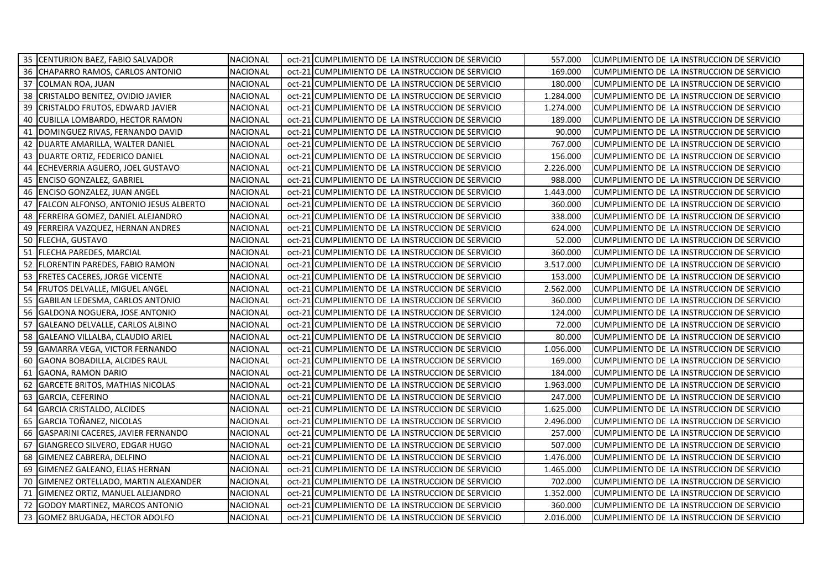|    | 35 CENTURION BAEZ, FABIO SALVADOR        | <b>NACIONAL</b> | oct-21 CUMPLIMIENTO DE LA INSTRUCCION DE SERVICIO | 557.000   | CUMPLIMIENTO DE LA INSTRUCCION DE SERVICIO |
|----|------------------------------------------|-----------------|---------------------------------------------------|-----------|--------------------------------------------|
|    | 36 CHAPARRO RAMOS, CARLOS ANTONIO        | <b>NACIONAL</b> | oct-21 CUMPLIMIENTO DE LA INSTRUCCION DE SERVICIO | 169.000   | CUMPLIMIENTO DE LA INSTRUCCION DE SERVICIO |
|    | 37 COLMAN ROA, JUAN                      | <b>NACIONAL</b> | oct-21 CUMPLIMIENTO DE LA INSTRUCCION DE SERVICIO | 180.000   | CUMPLIMIENTO DE LA INSTRUCCION DE SERVICIO |
|    | 38 CRISTALDO BENITEZ, OVIDIO JAVIER      | <b>NACIONAL</b> | oct-21 CUMPLIMIENTO DE LA INSTRUCCION DE SERVICIO | 1.284.000 | CUMPLIMIENTO DE LA INSTRUCCION DE SERVICIO |
|    | 39 CRISTALDO FRUTOS, EDWARD JAVIER       | <b>NACIONAL</b> | oct-21 CUMPLIMIENTO DE LA INSTRUCCION DE SERVICIO | 1.274.000 | CUMPLIMIENTO DE LA INSTRUCCION DE SERVICIO |
|    | 40 CUBILLA LOMBARDO, HECTOR RAMON        | <b>NACIONAL</b> | oct-21 CUMPLIMIENTO DE LA INSTRUCCION DE SERVICIO | 189.000   | CUMPLIMIENTO DE LA INSTRUCCION DE SERVICIO |
| 41 | DOMINGUEZ RIVAS, FERNANDO DAVID          | <b>NACIONAL</b> | oct-21 CUMPLIMIENTO DE LA INSTRUCCION DE SERVICIO | 90.000    | CUMPLIMIENTO DE LA INSTRUCCION DE SERVICIO |
|    | 42 DUARTE AMARILLA, WALTER DANIEL        | <b>NACIONAL</b> | oct-21 CUMPLIMIENTO DE LA INSTRUCCION DE SERVICIO | 767.000   | CUMPLIMIENTO DE LA INSTRUCCION DE SERVICIO |
|    | 43 DUARTE ORTIZ, FEDERICO DANIEL         | <b>NACIONAL</b> | oct-21 CUMPLIMIENTO DE LA INSTRUCCION DE SERVICIO | 156.000   | CUMPLIMIENTO DE LA INSTRUCCION DE SERVICIO |
|    | 44 ECHEVERRIA AGUERO, JOEL GUSTAVO       | <b>NACIONAL</b> | oct-21 CUMPLIMIENTO DE LA INSTRUCCION DE SERVICIO | 2.226.000 | CUMPLIMIENTO DE LA INSTRUCCION DE SERVICIO |
|    | 45   ENCISO GONZALEZ, GABRIEL            | NACIONAL        | oct-21 CUMPLIMIENTO DE LA INSTRUCCION DE SERVICIO | 988.000   | CUMPLIMIENTO DE LA INSTRUCCION DE SERVICIO |
|    | 46   ENCISO GONZALEZ, JUAN ANGEL         | <b>NACIONAL</b> | oct-21 CUMPLIMIENTO DE LA INSTRUCCION DE SERVICIO | 1.443.000 | CUMPLIMIENTO DE LA INSTRUCCION DE SERVICIO |
|    | 47 FALCON ALFONSO, ANTONIO JESUS ALBERTO | <b>NACIONAL</b> | oct-21 CUMPLIMIENTO DE LA INSTRUCCION DE SERVICIO | 360.000   | CUMPLIMIENTO DE LA INSTRUCCION DE SERVICIO |
|    | 48 FERREIRA GOMEZ, DANIEL ALEJANDRO      | NACIONAL        | oct-21 CUMPLIMIENTO DE LA INSTRUCCION DE SERVICIO | 338.000   | CUMPLIMIENTO DE LA INSTRUCCION DE SERVICIO |
|    | 49 FERREIRA VAZQUEZ, HERNAN ANDRES       | <b>NACIONAL</b> | oct-21 CUMPLIMIENTO DE LA INSTRUCCION DE SERVICIO | 624.000   | CUMPLIMIENTO DE LA INSTRUCCION DE SERVICIO |
|    | 50 FLECHA, GUSTAVO                       | <b>NACIONAL</b> | oct-21 CUMPLIMIENTO DE LA INSTRUCCION DE SERVICIO | 52.000    | CUMPLIMIENTO DE LA INSTRUCCION DE SERVICIO |
|    | 51 FLECHA PAREDES, MARCIAL               | <b>NACIONAL</b> | oct-21 CUMPLIMIENTO DE LA INSTRUCCION DE SERVICIO | 360.000   | CUMPLIMIENTO DE LA INSTRUCCION DE SERVICIO |
|    | 52 FLORENTIN PAREDES, FABIO RAMON        | <b>NACIONAL</b> | oct-21 CUMPLIMIENTO DE LA INSTRUCCION DE SERVICIO | 3.517.000 | CUMPLIMIENTO DE LA INSTRUCCION DE SERVICIO |
|    | 53 FRETES CACERES, JORGE VICENTE         | <b>NACIONAL</b> | oct-21 CUMPLIMIENTO DE LA INSTRUCCION DE SERVICIO | 153.000   | CUMPLIMIENTO DE LA INSTRUCCION DE SERVICIO |
|    | 54 FRUTOS DELVALLE, MIGUEL ANGEL         | NACIONAL        | oct-21 CUMPLIMIENTO DE LA INSTRUCCION DE SERVICIO | 2.562.000 | CUMPLIMIENTO DE LA INSTRUCCION DE SERVICIO |
|    | 55 GABILAN LEDESMA, CARLOS ANTONIO       | <b>NACIONAL</b> | oct-21 CUMPLIMIENTO DE LA INSTRUCCION DE SERVICIO | 360.000   | CUMPLIMIENTO DE LA INSTRUCCION DE SERVICIO |
|    | 56 GALDONA NOGUERA, JOSE ANTONIO         | <b>NACIONAL</b> | oct-21 CUMPLIMIENTO DE LA INSTRUCCION DE SERVICIO | 124.000   | CUMPLIMIENTO DE LA INSTRUCCION DE SERVICIO |
| 57 | GALEANO DELVALLE, CARLOS ALBINO          | NACIONAL        | oct-21 CUMPLIMIENTO DE LA INSTRUCCION DE SERVICIO | 72.000    | CUMPLIMIENTO DE LA INSTRUCCION DE SERVICIO |
|    | 58 GALEANO VILLALBA, CLAUDIO ARIEL       | <b>NACIONAL</b> | oct-21 CUMPLIMIENTO DE LA INSTRUCCION DE SERVICIO | 80.000    | CUMPLIMIENTO DE LA INSTRUCCION DE SERVICIO |
|    | 59 GAMARRA VEGA, VICTOR FERNANDO         | <b>NACIONAL</b> | oct-21 CUMPLIMIENTO DE LA INSTRUCCION DE SERVICIO | 1.056.000 | CUMPLIMIENTO DE LA INSTRUCCION DE SERVICIO |
|    | 60 GAONA BOBADILLA, ALCIDES RAUL         | <b>NACIONAL</b> | oct-21 CUMPLIMIENTO DE LA INSTRUCCION DE SERVICIO | 169.000   | CUMPLIMIENTO DE LA INSTRUCCION DE SERVICIO |
|    | 61 GAONA, RAMON DARIO                    | <b>NACIONAL</b> | oct-21 CUMPLIMIENTO DE LA INSTRUCCION DE SERVICIO | 184.000   | CUMPLIMIENTO DE LA INSTRUCCION DE SERVICIO |
|    | 62 GARCETE BRITOS, MATHIAS NICOLAS       | <b>NACIONAL</b> | oct-21 CUMPLIMIENTO DE LA INSTRUCCION DE SERVICIO | 1.963.000 | CUMPLIMIENTO DE LA INSTRUCCION DE SERVICIO |
|    | 63 GARCIA, CEFERINO                      | <b>NACIONAL</b> | oct-21 CUMPLIMIENTO DE LA INSTRUCCION DE SERVICIO | 247.000   | CUMPLIMIENTO DE LA INSTRUCCION DE SERVICIO |
|    | 64 GARCIA CRISTALDO, ALCIDES             | <b>NACIONAL</b> | oct-21 CUMPLIMIENTO DE LA INSTRUCCION DE SERVICIO | 1.625.000 | CUMPLIMIENTO DE LA INSTRUCCION DE SERVICIO |
|    | 65 GARCIA TOÑANEZ, NICOLAS               | <b>NACIONAL</b> | oct-21 CUMPLIMIENTO DE LA INSTRUCCION DE SERVICIO | 2.496.000 | CUMPLIMIENTO DE LA INSTRUCCION DE SERVICIO |
|    | 66 GASPARINI CACERES, JAVIER FERNANDO    | <b>NACIONAL</b> | oct-21 CUMPLIMIENTO DE LA INSTRUCCION DE SERVICIO | 257.000   | CUMPLIMIENTO DE LA INSTRUCCION DE SERVICIO |
| 67 | GIANGRECO SILVERO, EDGAR HUGO            | <b>NACIONAL</b> | oct-21 CUMPLIMIENTO DE LA INSTRUCCION DE SERVICIO | 507.000   | CUMPLIMIENTO DE LA INSTRUCCION DE SERVICIO |
|    | 68 GIMENEZ CABRERA, DELFINO              | <b>NACIONAL</b> | oct-21 CUMPLIMIENTO DE LA INSTRUCCION DE SERVICIO | 1.476.000 | CUMPLIMIENTO DE LA INSTRUCCION DE SERVICIO |
| 69 | GIMENEZ GALEANO, ELIAS HERNAN            | <b>NACIONAL</b> | oct-21 CUMPLIMIENTO DE LA INSTRUCCION DE SERVICIO | 1.465.000 | CUMPLIMIENTO DE LA INSTRUCCION DE SERVICIO |
| 70 | GIMENEZ ORTELLADO, MARTIN ALEXANDER      | <b>NACIONAL</b> | oct-21 CUMPLIMIENTO DE LA INSTRUCCION DE SERVICIO | 702.000   | CUMPLIMIENTO DE LA INSTRUCCION DE SERVICIO |
|    | 71 GIMENEZ ORTIZ, MANUEL ALEJANDRO       | <b>NACIONAL</b> | oct-21 CUMPLIMIENTO DE LA INSTRUCCION DE SERVICIO | 1.352.000 | CUMPLIMIENTO DE LA INSTRUCCION DE SERVICIO |
|    | 72 GODOY MARTINEZ, MARCOS ANTONIO        | NACIONAL        | oct-21 CUMPLIMIENTO DE LA INSTRUCCION DE SERVICIO | 360.000   | CUMPLIMIENTO DE LA INSTRUCCION DE SERVICIO |
|    | 73 GOMEZ BRUGADA, HECTOR ADOLFO          | <b>NACIONAL</b> | oct-21 CUMPLIMIENTO DE LA INSTRUCCION DE SERVICIO | 2.016.000 | CUMPLIMIENTO DE LA INSTRUCCION DE SERVICIO |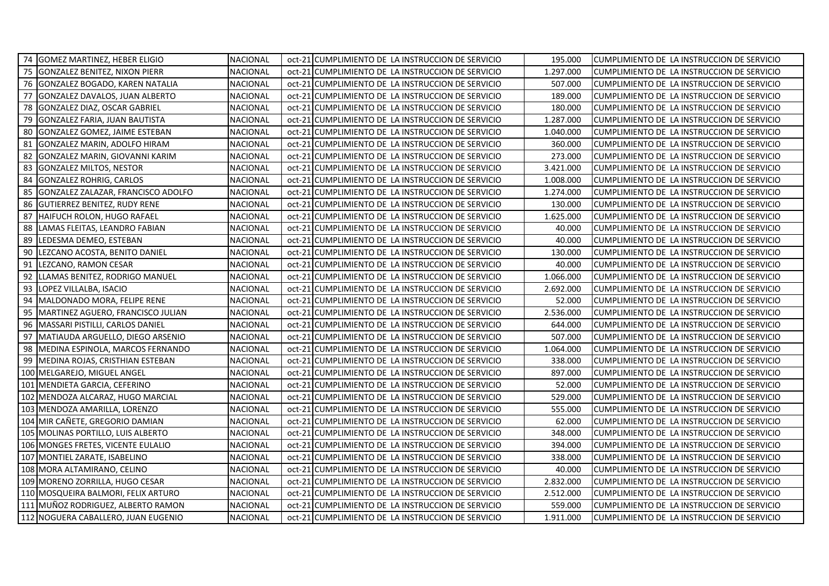|    | 74 GOMEZ MARTINEZ, HEBER ELIGIO       | <b>NACIONAL</b> | oct-21 CUMPLIMIENTO DE LA INSTRUCCION DE SERVICIO | 195.000   | CUMPLIMIENTO DE LA INSTRUCCION DE SERVICIO |
|----|---------------------------------------|-----------------|---------------------------------------------------|-----------|--------------------------------------------|
|    | 75 GONZALEZ BENITEZ, NIXON PIERR      | <b>NACIONAL</b> | oct-21 CUMPLIMIENTO DE LA INSTRUCCION DE SERVICIO | 1.297.000 | CUMPLIMIENTO DE LA INSTRUCCION DE SERVICIO |
|    | 76 GONZALEZ BOGADO, KAREN NATALIA     | <b>NACIONAL</b> | oct-21 CUMPLIMIENTO DE LA INSTRUCCION DE SERVICIO | 507.000   | CUMPLIMIENTO DE LA INSTRUCCION DE SERVICIO |
| 77 | <b>GONZALEZ DAVALOS, JUAN ALBERTO</b> | <b>NACIONAL</b> | oct-21 CUMPLIMIENTO DE LA INSTRUCCION DE SERVICIO | 189.000   | CUMPLIMIENTO DE LA INSTRUCCION DE SERVICIO |
|    | 78 GONZALEZ DIAZ, OSCAR GABRIEL       | <b>NACIONAL</b> | oct-21 CUMPLIMIENTO DE LA INSTRUCCION DE SERVICIO | 180.000   | CUMPLIMIENTO DE LA INSTRUCCION DE SERVICIO |
| 79 | <b>GONZALEZ FARIA, JUAN BAUTISTA</b>  | <b>NACIONAL</b> | oct-21 CUMPLIMIENTO DE LA INSTRUCCION DE SERVICIO | 1.287.000 | CUMPLIMIENTO DE LA INSTRUCCION DE SERVICIO |
| 80 | GONZALEZ GOMEZ, JAIME ESTEBAN         | <b>NACIONAL</b> | oct-21 CUMPLIMIENTO DE LA INSTRUCCION DE SERVICIO | 1.040.000 | CUMPLIMIENTO DE LA INSTRUCCION DE SERVICIO |
| 81 | GONZALEZ MARIN, ADOLFO HIRAM          | <b>NACIONAL</b> | oct-21 CUMPLIMIENTO DE LA INSTRUCCION DE SERVICIO | 360.000   | CUMPLIMIENTO DE LA INSTRUCCION DE SERVICIO |
| 82 | GONZALEZ MARIN, GIOVANNI KARIM        | <b>NACIONAL</b> | oct-21 CUMPLIMIENTO DE LA INSTRUCCION DE SERVICIO | 273.000   | CUMPLIMIENTO DE LA INSTRUCCION DE SERVICIO |
|    | 83 GONZALEZ MILTOS, NESTOR            | <b>NACIONAL</b> | oct-21 CUMPLIMIENTO DE LA INSTRUCCION DE SERVICIO | 3.421.000 | CUMPLIMIENTO DE LA INSTRUCCION DE SERVICIO |
| 84 | <b>GONZALEZ ROHRIG, CARLOS</b>        | <b>NACIONAL</b> | oct-21 CUMPLIMIENTO DE LA INSTRUCCION DE SERVICIO | 1.008.000 | CUMPLIMIENTO DE LA INSTRUCCION DE SERVICIO |
| 85 | GONZALEZ ZALAZAR, FRANCISCO ADOLFO    | <b>NACIONAL</b> | oct-21 CUMPLIMIENTO DE LA INSTRUCCION DE SERVICIO | 1.274.000 | CUMPLIMIENTO DE LA INSTRUCCION DE SERVICIO |
|    | 86 GUTIERREZ BENITEZ, RUDY RENE       | <b>NACIONAL</b> | oct-21 CUMPLIMIENTO DE LA INSTRUCCION DE SERVICIO | 130.000   | CUMPLIMIENTO DE LA INSTRUCCION DE SERVICIO |
|    | 87 HAIFUCH ROLON, HUGO RAFAEL         | <b>NACIONAL</b> | oct-21 CUMPLIMIENTO DE LA INSTRUCCION DE SERVICIO | 1.625.000 | CUMPLIMIENTO DE LA INSTRUCCION DE SERVICIO |
|    | 88 LAMAS FLEITAS, LEANDRO FABIAN      | <b>NACIONAL</b> | oct-21 CUMPLIMIENTO DE LA INSTRUCCION DE SERVICIO | 40.000    | CUMPLIMIENTO DE LA INSTRUCCION DE SERVICIO |
|    | 89 LEDESMA DEMEO, ESTEBAN             | <b>NACIONAL</b> | oct-21 CUMPLIMIENTO DE LA INSTRUCCION DE SERVICIO | 40.000    | CUMPLIMIENTO DE LA INSTRUCCION DE SERVICIO |
|    | 90 LEZCANO ACOSTA, BENITO DANIEL      | <b>NACIONAL</b> | oct-21 CUMPLIMIENTO DE LA INSTRUCCION DE SERVICIO | 130.000   | CUMPLIMIENTO DE LA INSTRUCCION DE SERVICIO |
|    | 91 LEZCANO, RAMON CESAR               | <b>NACIONAL</b> | oct-21 CUMPLIMIENTO DE LA INSTRUCCION DE SERVICIO | 40.000    | CUMPLIMIENTO DE LA INSTRUCCION DE SERVICIO |
|    | 92 LLAMAS BENITEZ, RODRIGO MANUEL     | <b>NACIONAL</b> | oct-21 CUMPLIMIENTO DE LA INSTRUCCION DE SERVICIO | 1.066.000 | CUMPLIMIENTO DE LA INSTRUCCION DE SERVICIO |
|    | 93 LOPEZ VILLALBA, ISACIO             | NACIONAL        | oct-21 CUMPLIMIENTO DE LA INSTRUCCION DE SERVICIO | 2.692.000 | CUMPLIMIENTO DE LA INSTRUCCION DE SERVICIO |
|    | 94 MALDONADO MORA, FELIPE RENE        | <b>NACIONAL</b> | oct-21 CUMPLIMIENTO DE LA INSTRUCCION DE SERVICIO | 52.000    | CUMPLIMIENTO DE LA INSTRUCCION DE SERVICIO |
|    | 95 MARTINEZ AGUERO, FRANCISCO JULIAN  | <b>NACIONAL</b> | oct-21 CUMPLIMIENTO DE LA INSTRUCCION DE SERVICIO | 2.536.000 | CUMPLIMIENTO DE LA INSTRUCCION DE SERVICIO |
|    | 96   MASSARI PISTILLI, CARLOS DANIEL  | <b>NACIONAL</b> | oct-21 CUMPLIMIENTO DE LA INSTRUCCION DE SERVICIO | 644.000   | CUMPLIMIENTO DE LA INSTRUCCION DE SERVICIO |
|    | 97   MATIAUDA ARGUELLO, DIEGO ARSENIO | <b>NACIONAL</b> | oct-21 CUMPLIMIENTO DE LA INSTRUCCION DE SERVICIO | 507.000   | CUMPLIMIENTO DE LA INSTRUCCION DE SERVICIO |
|    | 98   MEDINA ESPINOLA, MARCOS FERNANDO | <b>NACIONAL</b> | oct-21 CUMPLIMIENTO DE LA INSTRUCCION DE SERVICIO | 1.064.000 | CUMPLIMIENTO DE LA INSTRUCCION DE SERVICIO |
|    | 99 MEDINA ROJAS, CRISTHIAN ESTEBAN    | NACIONAL        | oct-21 CUMPLIMIENTO DE LA INSTRUCCION DE SERVICIO | 338.000   | CUMPLIMIENTO DE LA INSTRUCCION DE SERVICIO |
|    | 100 MELGAREJO, MIGUEL ANGEL           | <b>NACIONAL</b> | oct-21 CUMPLIMIENTO DE LA INSTRUCCION DE SERVICIO | 897.000   | CUMPLIMIENTO DE LA INSTRUCCION DE SERVICIO |
|    | 101 MENDIETA GARCIA, CEFERINO         | <b>NACIONAL</b> | oct-21 CUMPLIMIENTO DE LA INSTRUCCION DE SERVICIO | 52.000    | CUMPLIMIENTO DE LA INSTRUCCION DE SERVICIO |
|    | 102 MENDOZA ALCARAZ, HUGO MARCIAL     | <b>NACIONAL</b> | oct-21 CUMPLIMIENTO DE LA INSTRUCCION DE SERVICIO | 529.000   | CUMPLIMIENTO DE LA INSTRUCCION DE SERVICIO |
|    | 103 MENDOZA AMARILLA, LORENZO         | <b>NACIONAL</b> | oct-21 CUMPLIMIENTO DE LA INSTRUCCION DE SERVICIO | 555.000   | CUMPLIMIENTO DE LA INSTRUCCION DE SERVICIO |
|    | 104 MIR CAÑETE, GREGORIO DAMIAN       | <b>NACIONAL</b> | oct-21 CUMPLIMIENTO DE LA INSTRUCCION DE SERVICIO | 62.000    | CUMPLIMIENTO DE LA INSTRUCCION DE SERVICIO |
|    | 105 MOLINAS PORTILLO, LUIS ALBERTO    | <b>NACIONAL</b> | oct-21 CUMPLIMIENTO DE LA INSTRUCCION DE SERVICIO | 348.000   | CUMPLIMIENTO DE LA INSTRUCCION DE SERVICIO |
|    | 106 MONGES FRETES, VICENTE EULALIO    | <b>NACIONAL</b> | oct-21 CUMPLIMIENTO DE LA INSTRUCCION DE SERVICIO | 394.000   | CUMPLIMIENTO DE LA INSTRUCCION DE SERVICIO |
|    | 107 MONTIEL ZARATE, ISABELINO         | <b>NACIONAL</b> | oct-21 CUMPLIMIENTO DE LA INSTRUCCION DE SERVICIO | 338.000   | CUMPLIMIENTO DE LA INSTRUCCION DE SERVICIO |
|    | 108 MORA ALTAMIRANO, CELINO           | <b>NACIONAL</b> | oct-21 CUMPLIMIENTO DE LA INSTRUCCION DE SERVICIO | 40.000    | CUMPLIMIENTO DE LA INSTRUCCION DE SERVICIO |
|    | 109 MORENO ZORRILLA, HUGO CESAR       | NACIONAL        | oct-21 CUMPLIMIENTO DE LA INSTRUCCION DE SERVICIO | 2.832.000 | CUMPLIMIENTO DE LA INSTRUCCION DE SERVICIO |
|    | 110 MOSQUEIRA BALMORI, FELIX ARTURO   | <b>NACIONAL</b> | oct-21 CUMPLIMIENTO DE LA INSTRUCCION DE SERVICIO | 2.512.000 | CUMPLIMIENTO DE LA INSTRUCCION DE SERVICIO |
|    | 111 MUÑOZ RODRIGUEZ, ALBERTO RAMON    | <b>NACIONAL</b> | oct-21 CUMPLIMIENTO DE LA INSTRUCCION DE SERVICIO | 559.000   | CUMPLIMIENTO DE LA INSTRUCCION DE SERVICIO |
|    | 112 NOGUERA CABALLERO, JUAN EUGENIO   | <b>NACIONAL</b> | oct-21 CUMPLIMIENTO DE LA INSTRUCCION DE SERVICIO | 1.911.000 | CUMPLIMIENTO DE LA INSTRUCCION DE SERVICIO |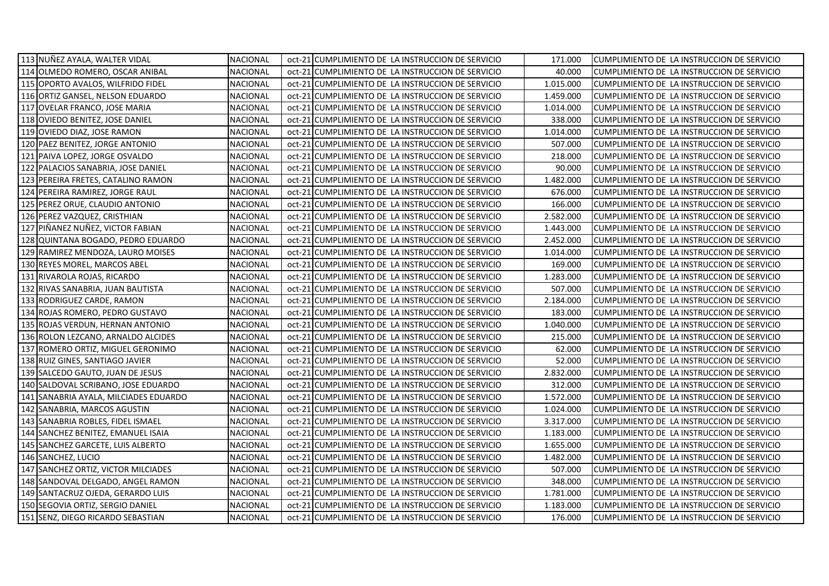| 113 NUÑEZ AYALA, WALTER VIDAL         | <b>NACIONAL</b> | oct-21 CUMPLIMIENTO DE LA INSTRUCCION DE SERVICIO | 171.000   | CUMPLIMIENTO DE LA INSTRUCCION DE SERVICIO |
|---------------------------------------|-----------------|---------------------------------------------------|-----------|--------------------------------------------|
| 114 OLMEDO ROMERO, OSCAR ANIBAL       | NACIONAL        | oct-21 CUMPLIMIENTO DE LA INSTRUCCION DE SERVICIO | 40.000    | CUMPLIMIENTO DE LA INSTRUCCION DE SERVICIO |
| 115 OPORTO AVALOS, WILFRIDO FIDEL     | <b>NACIONAL</b> | oct-21 CUMPLIMIENTO DE LA INSTRUCCION DE SERVICIO | 1.015.000 | CUMPLIMIENTO DE LA INSTRUCCION DE SERVICIO |
| 116 ORTIZ GANSEL, NELSON EDUARDO      | <b>NACIONAL</b> | oct-21 CUMPLIMIENTO DE LA INSTRUCCION DE SERVICIO | 1.459.000 | CUMPLIMIENTO DE LA INSTRUCCION DE SERVICIO |
| 117 OVELAR FRANCO, JOSE MARIA         | <b>NACIONAL</b> | oct-21 CUMPLIMIENTO DE LA INSTRUCCION DE SERVICIO | 1.014.000 | CUMPLIMIENTO DE LA INSTRUCCION DE SERVICIO |
| 118 OVIEDO BENITEZ, JOSE DANIEL       | NACIONAL        | oct-21 CUMPLIMIENTO DE LA INSTRUCCION DE SERVICIO | 338.000   | CUMPLIMIENTO DE LA INSTRUCCION DE SERVICIO |
| 119 OVIEDO DIAZ, JOSE RAMON           | <b>NACIONAL</b> | oct-21 CUMPLIMIENTO DE LA INSTRUCCION DE SERVICIO | 1.014.000 | CUMPLIMIENTO DE LA INSTRUCCION DE SERVICIO |
| 120 PAEZ BENITEZ, JORGE ANTONIO       | <b>NACIONAL</b> | oct-21 CUMPLIMIENTO DE LA INSTRUCCION DE SERVICIO | 507.000   | CUMPLIMIENTO DE LA INSTRUCCION DE SERVICIO |
| 121 PAIVA LOPEZ, JORGE OSVALDO        | <b>NACIONAL</b> | oct-21 CUMPLIMIENTO DE LA INSTRUCCION DE SERVICIO | 218.000   | CUMPLIMIENTO DE LA INSTRUCCION DE SERVICIO |
| 122 PALACIOS SANABRIA, JOSE DANIEL    | NACIONAL        | oct-21 CUMPLIMIENTO DE LA INSTRUCCION DE SERVICIO | 90.000    | CUMPLIMIENTO DE LA INSTRUCCION DE SERVICIO |
| 123 PEREIRA FRETES, CATALINO RAMON    | NACIONAL        | oct-21 CUMPLIMIENTO DE LA INSTRUCCION DE SERVICIO | 1.482.000 | CUMPLIMIENTO DE LA INSTRUCCION DE SERVICIO |
| 124 PEREIRA RAMIREZ, JORGE RAUL       | NACIONAL        | oct-21 CUMPLIMIENTO DE LA INSTRUCCION DE SERVICIO | 676.000   | CUMPLIMIENTO DE LA INSTRUCCION DE SERVICIO |
| 125 PEREZ ORUE, CLAUDIO ANTONIO       | NACIONAL        | oct-21 CUMPLIMIENTO DE LA INSTRUCCION DE SERVICIO | 166.000   | CUMPLIMIENTO DE LA INSTRUCCION DE SERVICIO |
| 126 PEREZ VAZQUEZ, CRISTHIAN          | NACIONAL        | oct-21 CUMPLIMIENTO DE LA INSTRUCCION DE SERVICIO | 2.582.000 | CUMPLIMIENTO DE LA INSTRUCCION DE SERVICIO |
| 127 PIÑANEZ NUÑEZ, VICTOR FABIAN      | <b>NACIONAL</b> | oct-21 CUMPLIMIENTO DE LA INSTRUCCION DE SERVICIO | 1.443.000 | CUMPLIMIENTO DE LA INSTRUCCION DE SERVICIO |
| 128 QUINTANA BOGADO, PEDRO EDUARDO    | <b>NACIONAL</b> | oct-21 CUMPLIMIENTO DE LA INSTRUCCION DE SERVICIO | 2.452.000 | CUMPLIMIENTO DE LA INSTRUCCION DE SERVICIO |
| 129 RAMIREZ MENDOZA, LAURO MOISES     | <b>NACIONAL</b> | oct-21 CUMPLIMIENTO DE LA INSTRUCCION DE SERVICIO | 1.014.000 | CUMPLIMIENTO DE LA INSTRUCCION DE SERVICIO |
| 130 REYES MOREL, MARCOS ABEL          | <b>NACIONAL</b> | oct-21 CUMPLIMIENTO DE LA INSTRUCCION DE SERVICIO | 169.000   | CUMPLIMIENTO DE LA INSTRUCCION DE SERVICIO |
| 131 RIVAROLA ROJAS, RICARDO           | NACIONAL        | oct-21 CUMPLIMIENTO DE LA INSTRUCCION DE SERVICIO | 1.283.000 | CUMPLIMIENTO DE LA INSTRUCCION DE SERVICIO |
| 132 RIVAS SANABRIA, JUAN BAUTISTA     | NACIONAL        | oct-21 CUMPLIMIENTO DE LA INSTRUCCION DE SERVICIO | 507.000   | CUMPLIMIENTO DE LA INSTRUCCION DE SERVICIO |
| 133 RODRIGUEZ CARDE, RAMON            | <b>NACIONAL</b> | oct-21 CUMPLIMIENTO DE LA INSTRUCCION DE SERVICIO | 2.184.000 | CUMPLIMIENTO DE LA INSTRUCCION DE SERVICIO |
| 134 ROJAS ROMERO, PEDRO GUSTAVO       | <b>NACIONAL</b> | oct-21 CUMPLIMIENTO DE LA INSTRUCCION DE SERVICIO | 183.000   | CUMPLIMIENTO DE LA INSTRUCCION DE SERVICIO |
| 135 ROJAS VERDUN, HERNAN ANTONIO      | NACIONAL        | oct-21 CUMPLIMIENTO DE LA INSTRUCCION DE SERVICIO | 1.040.000 | CUMPLIMIENTO DE LA INSTRUCCION DE SERVICIO |
| 136 ROLON LEZCANO, ARNALDO ALCIDES    | NACIONAL        | oct-21 CUMPLIMIENTO DE LA INSTRUCCION DE SERVICIO | 215.000   | CUMPLIMIENTO DE LA INSTRUCCION DE SERVICIO |
| 137 ROMERO ORTIZ, MIGUEL GERONIMO     | NACIONAL        | oct-21 CUMPLIMIENTO DE LA INSTRUCCION DE SERVICIO | 62.000    | CUMPLIMIENTO DE LA INSTRUCCION DE SERVICIO |
| 138 RUIZ GINES, SANTIAGO JAVIER       | NACIONAL        | oct-21 CUMPLIMIENTO DE LA INSTRUCCION DE SERVICIO | 52.000    | CUMPLIMIENTO DE LA INSTRUCCION DE SERVICIO |
| 139 SALCEDO GAUTO, JUAN DE JESUS      | <b>NACIONAL</b> | oct-21 CUMPLIMIENTO DE LA INSTRUCCION DE SERVICIO | 2.832.000 | CUMPLIMIENTO DE LA INSTRUCCION DE SERVICIO |
| 140 SALDOVAL SCRIBANO, JOSE EDUARDO   | <b>NACIONAL</b> | oct-21 CUMPLIMIENTO DE LA INSTRUCCION DE SERVICIO | 312.000   | CUMPLIMIENTO DE LA INSTRUCCION DE SERVICIO |
| 141 SANABRIA AYALA, MILCIADES EDUARDO | <b>NACIONAL</b> | oct-21 CUMPLIMIENTO DE LA INSTRUCCION DE SERVICIO | 1.572.000 | CUMPLIMIENTO DE LA INSTRUCCION DE SERVICIO |
| 142 SANABRIA, MARCOS AGUSTIN          | NACIONAL        | oct-21 CUMPLIMIENTO DE LA INSTRUCCION DE SERVICIO | 1.024.000 | CUMPLIMIENTO DE LA INSTRUCCION DE SERVICIO |
| 143 SANABRIA ROBLES, FIDEL ISMAEL     | NACIONAL        | oct-21 CUMPLIMIENTO DE LA INSTRUCCION DE SERVICIO | 3.317.000 | CUMPLIMIENTO DE LA INSTRUCCION DE SERVICIO |
| 144 SANCHEZ BENITEZ, EMANUEL ISAIA    | NACIONAL        | oct-21 CUMPLIMIENTO DE LA INSTRUCCION DE SERVICIO | 1.183.000 | CUMPLIMIENTO DE LA INSTRUCCION DE SERVICIO |
| 145 SANCHEZ GARCETE, LUIS ALBERTO     | <b>NACIONAL</b> | oct-21 CUMPLIMIENTO DE LA INSTRUCCION DE SERVICIO | 1.655.000 | CUMPLIMIENTO DE LA INSTRUCCION DE SERVICIO |
| 146 SANCHEZ, LUCIO                    | <b>NACIONAL</b> | oct-21 CUMPLIMIENTO DE LA INSTRUCCION DE SERVICIO | 1.482.000 | CUMPLIMIENTO DE LA INSTRUCCION DE SERVICIO |
| 147 SANCHEZ ORTIZ, VICTOR MILCIADES   | NACIONAL        | oct-21 CUMPLIMIENTO DE LA INSTRUCCION DE SERVICIO | 507.000   | CUMPLIMIENTO DE LA INSTRUCCION DE SERVICIO |
| 148 SANDOVAL DELGADO, ANGEL RAMON     | NACIONAL        | oct-21 CUMPLIMIENTO DE LA INSTRUCCION DE SERVICIO | 348.000   | CUMPLIMIENTO DE LA INSTRUCCION DE SERVICIO |
| 149 SANTACRUZ OJEDA, GERARDO LUIS     | NACIONAL        | oct-21 CUMPLIMIENTO DE LA INSTRUCCION DE SERVICIO | 1.781.000 | CUMPLIMIENTO DE LA INSTRUCCION DE SERVICIO |
| 150 SEGOVIA ORTIZ, SERGIO DANIEL      | NACIONAL        | oct-21 CUMPLIMIENTO DE LA INSTRUCCION DE SERVICIO | 1.183.000 | CUMPLIMIENTO DE LA INSTRUCCION DE SERVICIO |
| 151 SENZ, DIEGO RICARDO SEBASTIAN     | <b>NACIONAL</b> | oct-21 CUMPLIMIENTO DE LA INSTRUCCION DE SERVICIO | 176.000   | CUMPLIMIENTO DE LA INSTRUCCION DE SERVICIO |